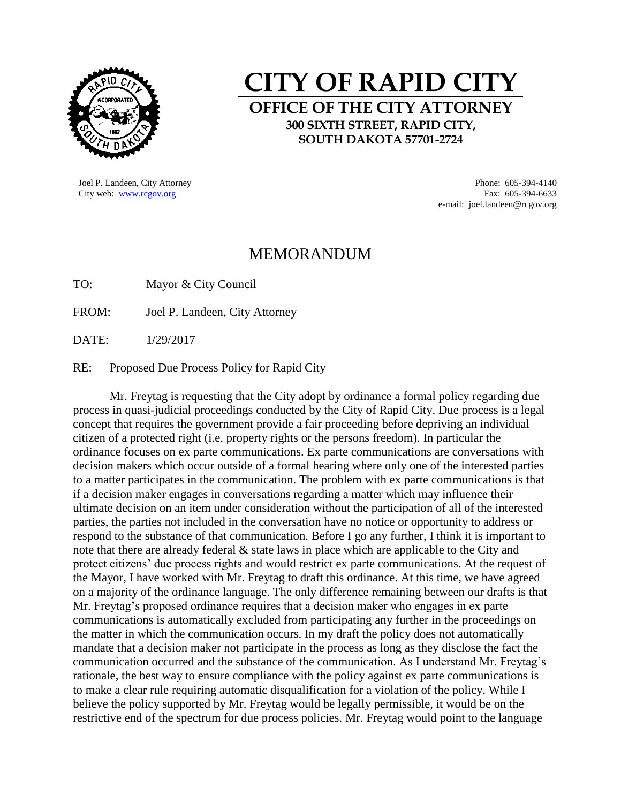

## **CITY OF RAPID CITY OFFICE OF THE CITY ATTORNEY 300 SIXTH STREET, RAPID CITY, SOUTH DAKOTA 57701-2724**

Joel P. Landeen, City Attorney Phone: 605-394-4140

City web: [www.rcgov.org](http://www.rcgov.org/) Fax: 605-394-6633 e-mail: joel.landeen@rcgov.org

## MEMORANDUM

TO: Mayor & City Council

FROM: Joel P. Landeen, City Attorney

DATE: 1/29/2017

RE: Proposed Due Process Policy for Rapid City

Mr. Freytag is requesting that the City adopt by ordinance a formal policy regarding due process in quasi-judicial proceedings conducted by the City of Rapid City. Due process is a legal concept that requires the government provide a fair proceeding before depriving an individual citizen of a protected right (i.e. property rights or the persons freedom). In particular the ordinance focuses on ex parte communications. Ex parte communications are conversations with decision makers which occur outside of a formal hearing where only one of the interested parties to a matter participates in the communication. The problem with ex parte communications is that if a decision maker engages in conversations regarding a matter which may influence their ultimate decision on an item under consideration without the participation of all of the interested parties, the parties not included in the conversation have no notice or opportunity to address or respond to the substance of that communication. Before I go any further, I think it is important to note that there are already federal & state laws in place which are applicable to the City and protect citizens' due process rights and would restrict ex parte communications. At the request of the Mayor, I have worked with Mr. Freytag to draft this ordinance. At this time, we have agreed on a majority of the ordinance language. The only difference remaining between our drafts is that Mr. Freytag's proposed ordinance requires that a decision maker who engages in ex parte communications is automatically excluded from participating any further in the proceedings on the matter in which the communication occurs. In my draft the policy does not automatically mandate that a decision maker not participate in the process as long as they disclose the fact the communication occurred and the substance of the communication. As I understand Mr. Freytag's rationale, the best way to ensure compliance with the policy against ex parte communications is to make a clear rule requiring automatic disqualification for a violation of the policy. While I believe the policy supported by Mr. Freytag would be legally permissible, it would be on the restrictive end of the spectrum for due process policies. Mr. Freytag would point to the language